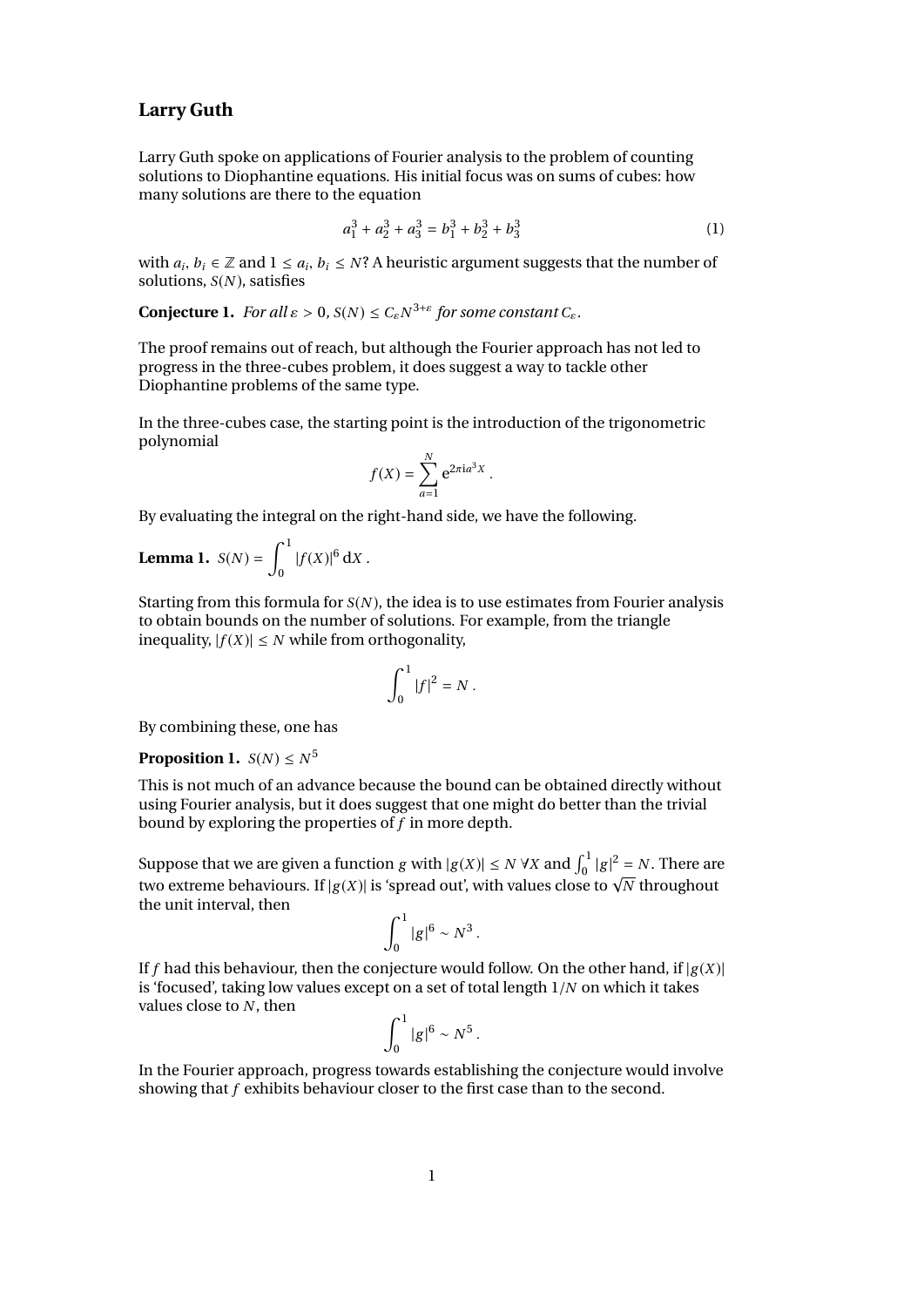## **Larry Guth**

Larry Guth spoke on applications of Fourier analysis to the problem of counting solutions to Diophantine equations. His initial focus was on sums of cubes: how many solutions are there to the equation

$$
a_1^3 + a_2^3 + a_3^3 = b_1^3 + b_2^3 + b_3^3 \tag{1}
$$

with  $a_i$ ,  $b_i \in \mathbb{Z}$  and  $1 \le a_i$ ,  $b_i \le N$ ? A heuristic argument suggests that the number of solutions  $S(N)$  satisfies solutions, *S*(*N* ), satisfies

**Conjecture 1.** *For all*  $\varepsilon > 0$ ,  $S(N) \le C_{\varepsilon} N^{3+\varepsilon}$  for some constant  $C_{\varepsilon}$ *.* 

The proof remains out of reach, but although the Fourier approach has not led to progress in the three-cubes problem, it does suggest a way to tackle other Diophantine problems of the same type.

In the three-cubes case, the starting point is the introduction of the trigonometric polynomial

$$
f(X) = \sum_{a=1}^{N} e^{2\pi i a^3 X}
$$

By evaluating the integral on the right-hand side, we have the following.

**Lemma 1.** 
$$
S(N) = \int_0^1 |f(X)|^6 \, dx
$$
.

Starting from this formula for *S*(*N* ), the idea is to use estimates from Fourier analysis to obtain bounds on the number of solutions. For example, from the triangle inequality,  $|f(X)| \leq N$  while from orthogonality,

$$
\int_0^1 |f|^2 = N.
$$

By combining these, one has

**Proposition 1.**  $S(N) \leq N^5$ 

This is not much of an advance because the bound can be obtained directly without using Fourier analysis, but it does suggest that one might do better than the trivial bound by exploring the properties of *f* in more depth.

Suppose that we are given a function *g* with  $|g(X)| \le N \forall X$  and  $\int_0^1 |g|^2 = N$ . There are two extreme behaviours. If  $|g(X)|$  is 'spread out', with values close to  $\sqrt{N}$  throughout the unit interval, then

$$
\int_0^1 |g|^6 \sim N^3.
$$

If *f* had this behaviour, then the conjecture would follow. On the other hand, if  $|g(X)|$ is 'focused', taking low values except on a set of total length 1/*<sup>N</sup>* on which it takes values close to *N* , then

$$
\int_0^1 |g|^6 \sim N^5.
$$

In the Fourier approach, progress towards establishing the conjecture would involve showing that *f* exhibits behaviour closer to the first case than to the second.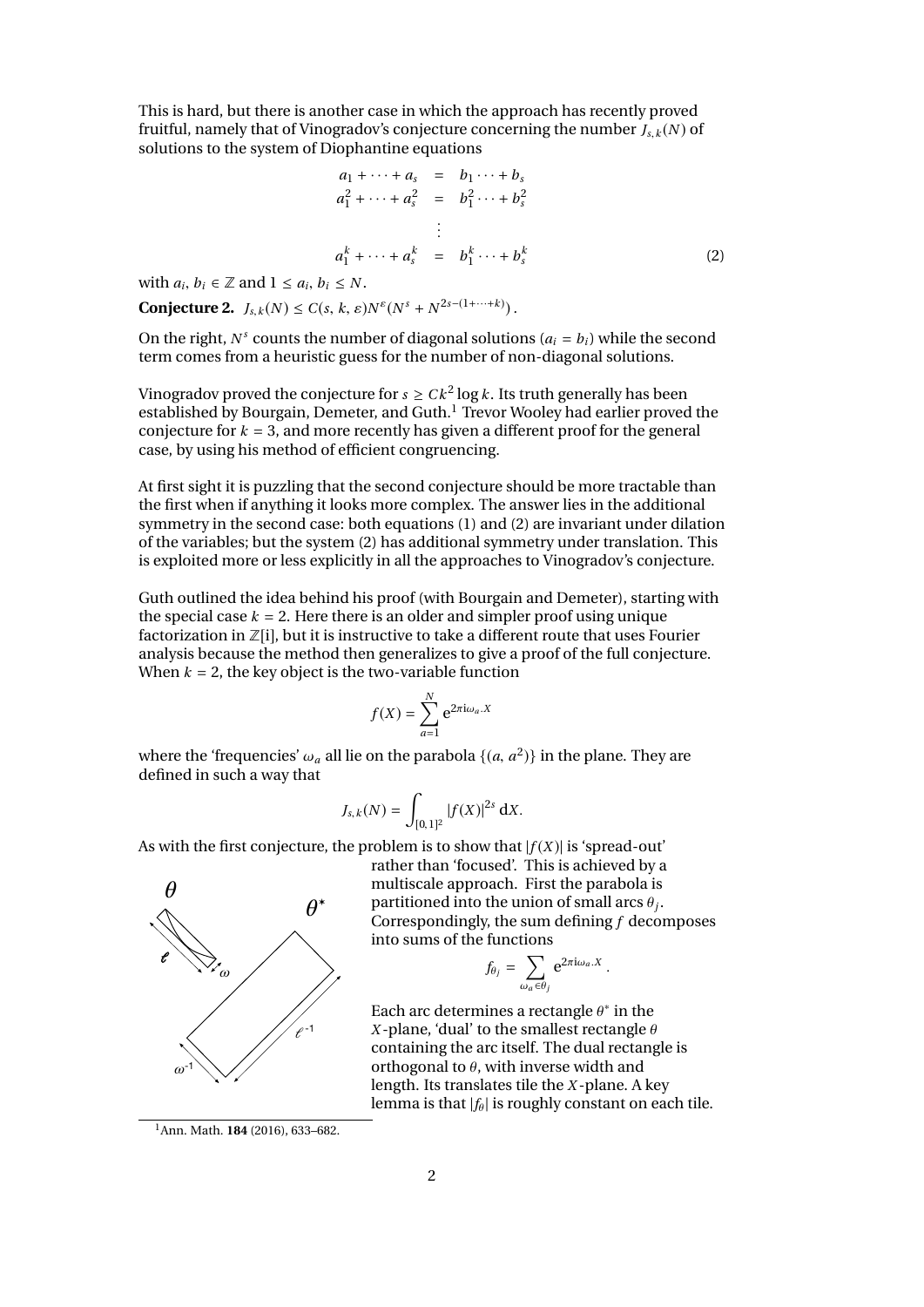This is hard, but there is another case in which the approach has recently proved fruitful, namely that of Vinogradov's conjecture concerning the number  $J_s$ ,  $k(N)$  of solutions to the system of Diophantine equations

$$
a_1 + \cdots + a_s = b_1 \cdots + b_s
$$
  
\n
$$
a_1^2 + \cdots + a_s^2 = b_1^2 \cdots + b_s^2
$$
  
\n
$$
\vdots
$$
  
\n
$$
a_1^k + \cdots + a_s^k = b_1^k \cdots + b_s^k
$$
  
\n(2)

with  $a_i, b_i \in \mathbb{Z}$  and  $1 \le a_i, b_i \le N$ .

**Conjecture 2.**  $J_{s,k}(N) \leq C(s, k, \varepsilon)N^{\varepsilon}(N^s + N^{2s-(1+\cdots+k)})$ .

On the right,  $N^s$  counts the number of diagonal solutions ( $a_i = b_i$ ) while the second term comes from a heuristic guess for the number of non-diagonal solutions.

Vinogradov proved the conjecture for  $s \geq C k^2 \log k$  . Its truth generally has been established by Bourgain, Demeter, and Guth.<sup>1</sup> Trevor Wooley had earlier proved the conjecture for  $k = 3$ , and more recently has given a different proof for the general case, by using his method of efficient congruencing.

At first sight it is puzzling that the second conjecture should be more tractable than the first when if anything it looks more complex. The answer lies in the additional symmetry in the second case: both equations (1) and (2) are invariant under dilation of the variables; but the system (2) has additional symmetry under translation. This is exploited more or less explicitly in all the approaches to Vinogradov's conjecture.

Guth outlined the idea behind his proof (with Bourgain and Demeter), starting with the special case  $k = 2$ . Here there is an older and simpler proof using unique factorization in  $\mathbb{Z}[i]$ , but it is instructive to take a different route that uses Fourier analysis because the method then generalizes to give a proof of the full conjecture. When  $k = 2$ , the key object is the two-variable function

$$
f(X) = \sum_{a=1}^{N} e^{2\pi i \omega_a \cdot X}
$$

where the 'frequencies'  $\omega_a$  all lie on the parabola  $\{(a, a^2)\}$  in the plane. They are defined in such a way that defined in such a way that

$$
J_{s,k}(N) = \int_{[0,1]^2} |f(X)|^{2s} \, \mathrm{d}X.
$$

As with the first conjecture, the problem is to show that  $|f(X)|$  is 'spread-out'



rather than 'focused'. This is achieved by a multiscale approach. First the parabola is partitioned into the union of small arcs <sup>θ</sup>*<sup>j</sup>* . Correspondingly, the sum defining *f* decomposes into sums of the functions

$$
f_{\theta_j} = \sum_{\omega_a \in \theta_j} e^{2\pi i \omega_a \cdot X}.
$$

Each arc determines a rectangle  $\theta^*$  in the <br>*x*-plane 'dual' to the smallest rectangle  $\theta$ *X*-plane, 'dual' to the smallest rectangle  $\theta$ containing the arc itself. The dual rectangle is orthogonal to  $\theta$ , with inverse width and length. Its translates tile the *X* -plane. A key lemma is that  $|f_\theta|$  is roughly constant on each tile.

<sup>1</sup>Ann. Math. **184** (2016), 633–682.